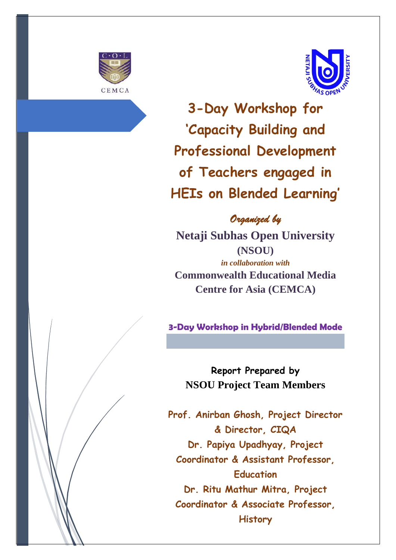



 **3-Day Workshop for 'Capacity Building and Professional Development of Teachers engaged in HEIs on Blended Learning'**

### *Organized by*

**Netaji Subhas Open University (NSOU)** *in collaboration with* **Commonwealth Educational Media Centre for Asia (CEMCA)** 

**3-Day Workshop in Hybrid/Blended Mode**

**Report Prepared by NSOU Project Team Members**

**Prof. Anirban Ghosh, Project Director & Director, CIQA Dr. Papiya Upadhyay, Project Coordinator & Assistant Professor, Education Dr. Ritu Mathur Mitra, Project Coordinator & Associate Professor, History**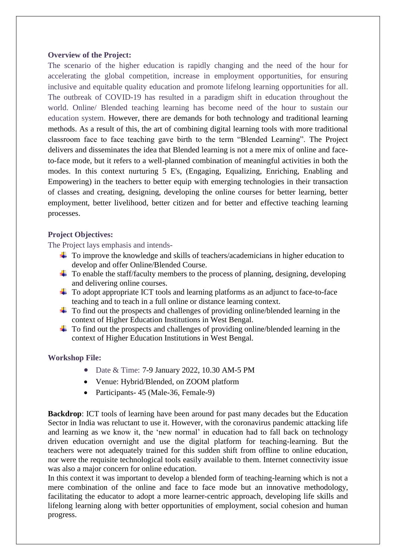#### **Overview of the Project:**

The scenario of the higher education is rapidly changing and the need of the hour for accelerating the global competition, increase in employment opportunities, for ensuring inclusive and equitable quality education and promote lifelong learning opportunities for all. The outbreak of COVID-19 has resulted in a paradigm shift in education throughout the world. Online/ Blended teaching learning has become need of the hour to sustain our education system. However, there are demands for both technology and traditional learning methods. As a result of this, the art of combining digital learning tools with more traditional classroom face to face teaching gave birth to the term "Blended Learning". The Project delivers and disseminates the idea that Blended learning is not a mere mix of online and faceto-face mode, but it refers to a well-planned combination of meaningful activities in both the modes. In this context nurturing 5 E's, (Engaging, Equalizing, Enriching, Enabling and Empowering) in the teachers to better equip with emerging technologies in their transaction of classes and creating, designing, developing the online courses for better learning, better employment, better livelihood, better citizen and for better and effective teaching learning processes.

#### **Project Objectives:**

The Project lays emphasis and intends-

- To improve the knowledge and skills of teachers/academicians in higher education to develop and offer Online/Blended Course.
- $\ddot{\text{+}}$  To enable the staff/faculty members to the process of planning, designing, developing and delivering online courses.
- $\ddot{\phantom{1}}$  To adopt appropriate ICT tools and learning platforms as an adjunct to face-to-face teaching and to teach in a full online or distance learning context.
- $\ddot{\text{+}}$  To find out the prospects and challenges of providing online/blended learning in the context of Higher Education Institutions in West Bengal.
- $\ddot{\phantom{a}}$  To find out the prospects and challenges of providing online/blended learning in the context of Higher Education Institutions in West Bengal.

#### **Workshop File:**

- Date & Time: 7-9 January 2022, 10.30 AM-5 PM
- Venue: Hybrid/Blended, on ZOOM platform
- Participants 45 (Male-36, Female-9)

**Backdrop**: ICT tools of learning have been around for past many decades but the Education Sector in India was reluctant to use it. However, with the coronavirus pandemic attacking life and learning as we know it, the 'new normal' in education had to fall back on technology driven education overnight and use the digital platform for teaching-learning. But the teachers were not adequately trained for this sudden shift from offline to online education, nor were the requisite technological tools easily available to them. Internet connectivity issue was also a major concern for online education.

In this context it was important to develop a blended form of teaching-learning which is not a mere combination of the online and face to face mode but an innovative methodology, facilitating the educator to adopt a more learner-centric approach, developing life skills and lifelong learning along with better opportunities of employment, social cohesion and human progress.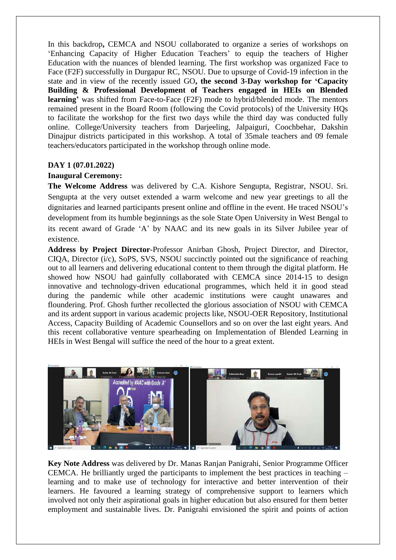In this backdrop**,** CEMCA and NSOU collaborated to organize a series of workshops on 'Enhancing Capacity of Higher Education Teachers' to equip the teachers of Higher Education with the nuances of blended learning. The first workshop was organized Face to Face (F2F) successfully in Durgapur RC, NSOU. Due to upsurge of Covid-19 infection in the state and in view of the recently issued GO**, the second 3-Day workshop for 'Capacity Building & Professional Development of Teachers engaged in HEIs on Blended learning'** was shifted from Face-to-Face (F2F) mode to hybrid/blended mode. The mentors remained present in the Board Room (following the Covid protocols) of the University HQs to facilitate the workshop for the first two days while the third day was conducted fully online. College/University teachers from Darjeeling, Jalpaiguri, Coochbehar, Dakshin Dinajpur districts participated in this workshop. A total of 35male teachers and 09 female teachers/educators participated in the workshop through online mode.

#### **DAY 1 (07.01.2022)**

#### **Inaugural Ceremony:**

**The Welcome Address** was delivered by C.A. Kishore Sengupta, Registrar, NSOU. Sri. Sengupta at the very outset extended a warm welcome and new year greetings to all the dignitaries and learned participants present online and offline in the event. He traced NSOU's development from its humble beginnings as the sole State Open University in West Bengal to its recent award of Grade 'A' by NAAC and its new goals in its Silver Jubilee year of existence.

**Address by Project Director**-Professor Anirban Ghosh, Project Director, and Director, CIQA, Director (i/c), SoPS, SVS, NSOU succinctly pointed out the significance of reaching out to all learners and delivering educational content to them through the digital platform. He showed how NSOU had gainfully collaborated with CEMCA since 2014-15 to design innovative and technology-driven educational programmes, which held it in good stead during the pandemic while other academic institutions were caught unawares and floundering. Prof. Ghosh further recollected the glorious association of NSOU with CEMCA and its ardent support in various academic projects like, NSOU-OER Repository, Institutional Access, Capacity Building of Academic Counsellors and so on over the last eight years. And this recent collaborative venture spearheading on Implementation of Blended Learning in HEIs in West Bengal will suffice the need of the hour to a great extent.



**Key Note Address** was delivered by Dr. Manas Ranjan Panigrahi, Senior Programme Officer CEMCA. He brilliantly urged the participants to implement the best practices in teaching – learning and to make use of technology for interactive and better intervention of their learners. He favoured a learning strategy of comprehensive support to learners which involved not only their aspirational goals in higher education but also ensured for them better employment and sustainable lives. Dr. Panigrahi envisioned the spirit and points of action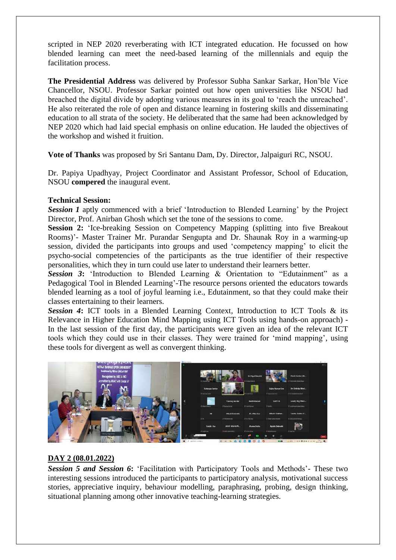scripted in NEP 2020 reverberating with ICT integrated education. He focussed on how blended learning can meet the need-based learning of the millennials and equip the facilitation process.

**The Presidential Address** was delivered by Professor Subha Sankar Sarkar, Hon'ble Vice Chancellor, NSOU. Professor Sarkar pointed out how open universities like NSOU had breached the digital divide by adopting various measures in its goal to 'reach the unreached'. He also reiterated the role of open and distance learning in fostering skills and disseminating education to all strata of the society. He deliberated that the same had been acknowledged by NEP 2020 which had laid special emphasis on online education. He lauded the objectives of the workshop and wished it fruition.

**Vote of Thanks** was proposed by Sri Santanu Dam, Dy. Director, Jalpaiguri RC, NSOU.

Dr. Papiya Upadhyay, Project Coordinator and Assistant Professor, School of Education, NSOU **compered** the inaugural event.

#### **Technical Session:**

**Session 1** aptly commenced with a brief 'Introduction to Blended Learning' by the Project Director, Prof. Anirban Ghosh which set the tone of the sessions to come.

**Session 2:** 'Ice-breaking Session on Competency Mapping (splitting into five Breakout Rooms)'- Master Trainer Mr. Purandar Sengupta and Dr. Shaunak Roy in a warming-up session, divided the participants into groups and used 'competency mapping' to elicit the psycho-social competencies of the participants as the true identifier of their respective personalities, which they in turn could use later to understand their learners better.

*Session 3***:** 'Introduction to Blended Learning & Orientation to "Edutainment" as a Pedagogical Tool in Blended Learning'-The resource persons oriented the educators towards blended learning as a tool of joyful learning i.e., Edutainment, so that they could make their classes entertaining to their learners.

**Session 4:** ICT tools in a Blended Learning Context, Introduction to ICT Tools & its Relevance in Higher Education Mind Mapping using ICT Tools using hands-on approach) - In the last session of the first day, the participants were given an idea of the relevant ICT tools which they could use in their classes. They were trained for 'mind mapping', using these tools for divergent as well as convergent thinking.



#### **DAY 2 (08.01.2022)**

*Session 5 and Session 6***:** 'Facilitation with Participatory Tools and Methods'- These two interesting sessions introduced the participants to participatory analysis, motivational success stories, appreciative inquiry, behaviour modelling, paraphrasing, probing, design thinking, situational planning among other innovative teaching-learning strategies.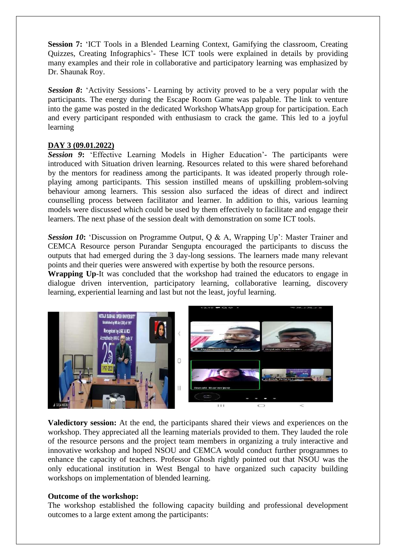**Session 7:** 'ICT Tools in a Blended Learning Context, Gamifying the classroom, Creating Quizzes, Creating Infographics'- These ICT tools were explained in details by providing many examples and their role in collaborative and participatory learning was emphasized by Dr. Shaunak Roy.

**Session 8:** 'Activity Sessions'- Learning by activity proved to be a very popular with the participants. The energy during the Escape Room Game was palpable. The link to venture into the game was posted in the dedicated Workshop WhatsApp group for participation. Each and every participant responded with enthusiasm to crack the game. This led to a joyful learning

#### **DAY 3 (09.01.2022)**

*Session 9***:** 'Effective Learning Models in Higher Education'- The participants were introduced with Situation driven learning. Resources related to this were shared beforehand by the mentors for readiness among the participants. It was ideated properly through roleplaying among participants. This session instilled means of upskilling problem-solving behaviour among learners. This session also surfaced the ideas of direct and indirect counselling process between facilitator and learner. In addition to this, various learning models were discussed which could be used by them effectively to facilitate and engage their learners. The next phase of the session dealt with demonstration on some ICT tools.

**Session 10:** 'Discussion on Programme Output, O & A, Wrapping Up': Master Trainer and CEMCA Resource person Purandar Sengupta encouraged the participants to discuss the outputs that had emerged during the 3 day-long sessions. The learners made many relevant points and their queries were answered with expertise by both the resource persons.

**Wrapping Up**-It was concluded that the workshop had trained the educators to engage in dialogue driven intervention, participatory learning, collaborative learning, discovery learning, experiential learning and last but not the least, joyful learning.



**Valedictory session:** At the end, the participants shared their views and experiences on the workshop. They appreciated all the learning materials provided to them. They lauded the role of the resource persons and the project team members in organizing a truly interactive and innovative workshop and hoped NSOU and CEMCA would conduct further programmes to enhance the capacity of teachers. Professor Ghosh rightly pointed out that NSOU was the only educational institution in West Bengal to have organized such capacity building workshops on implementation of blended learning.

#### **Outcome of the workshop:**

The workshop established the following capacity building and professional development outcomes to a large extent among the participants: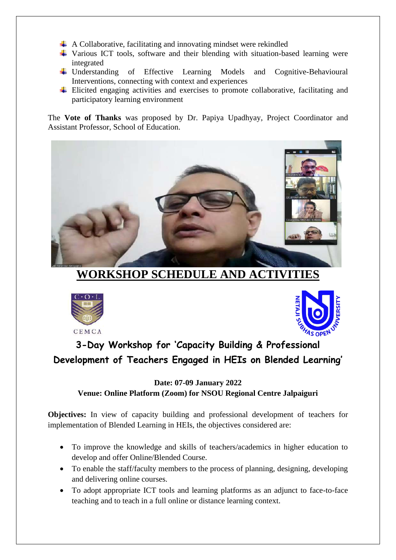- $\overline{+}$  A Collaborative, facilitating and innovating mindset were rekindled
- Various ICT tools, software and their blending with situation-based learning were integrated
- Understanding of Effective Learning Models and Cognitive-Behavioural Interventions, connecting with context and experiences
- $\overline{\phantom{a}}$  Elicited engaging activities and exercises to promote collaborative, facilitating and participatory learning environment

The **Vote of Thanks** was proposed by Dr. Papiya Upadhyay, Project Coordinator and Assistant Professor, School of Education.



**WORKSHOP SCHEDULE AND ACTIVITIES**





### **3-Day Workshop for 'Capacity Building & Professional Development of Teachers Engaged in HEIs on Blended Learning'**

#### **Date: 07-09 January 2022 Venue: Online Platform (Zoom) for NSOU Regional Centre Jalpaiguri**

**Objectives:** In view of capacity building and professional development of teachers for implementation of Blended Learning in HEIs, the objectives considered are:

- To improve the knowledge and skills of teachers/academics in higher education to develop and offer Online/Blended Course.
- To enable the staff/faculty members to the process of planning, designing, developing and delivering online courses.
- To adopt appropriate ICT tools and learning platforms as an adjunct to face-to-face teaching and to teach in a full online or distance learning context.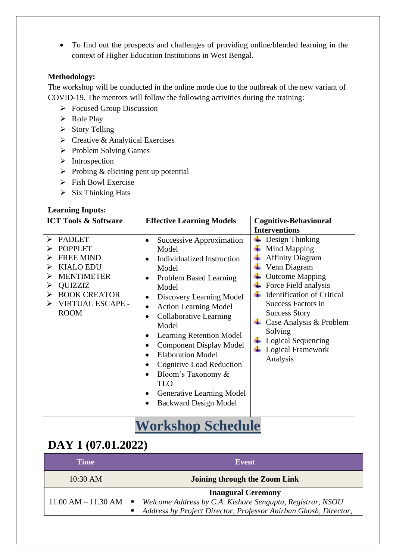• To find out the prospects and challenges of providing online/blended learning in the context of Higher Education Institutions in West Bengal.

#### **Methodology:**

The workshop will be conducted in the online mode due to the outbreak of the new variant of COVID-19. The mentors will follow the following activities during the training:

- ➢ Focused Group Discussion
- ➢ Role Play
- ➢ Story Telling
- ➢ Creative & Analytical Exercises
- ➢ Problem Solving Games
- ➢ Introspection
- $\triangleright$  Probing & eliciting pent up potential
- ➢ Fish Bowl Exercise
- $\triangleright$  Six Thinking Hats

#### **Learning Inputs:**

| <b>ICT Tools &amp; Software</b>                                                                                                                                                                   | <b>Effective Learning Models</b>                                                                                                                                                                                                                                                                                                                                                                                                                                                        | <b>Cognitive-Behavioural</b>                                                                                                                                                                                                                                                                                               |
|---------------------------------------------------------------------------------------------------------------------------------------------------------------------------------------------------|-----------------------------------------------------------------------------------------------------------------------------------------------------------------------------------------------------------------------------------------------------------------------------------------------------------------------------------------------------------------------------------------------------------------------------------------------------------------------------------------|----------------------------------------------------------------------------------------------------------------------------------------------------------------------------------------------------------------------------------------------------------------------------------------------------------------------------|
|                                                                                                                                                                                                   |                                                                                                                                                                                                                                                                                                                                                                                                                                                                                         | <b>Interventions</b>                                                                                                                                                                                                                                                                                                       |
| <b>PADLET</b><br>↘<br><b>POPPLET</b><br>⋗<br><b>FREE MIND</b><br><b>KIALO EDU</b><br>⋗<br><b>MENTIMETER</b><br><b>QUIZZIZ</b><br>⋗<br><b>BOOK CREATOR</b><br>⋗<br>VIRTUAL ESCAPE -<br><b>ROOM</b> | Successive Approximation<br>Model<br><b>Individualized Instruction</b><br>Model<br><b>Problem Based Learning</b><br>Model<br>Discovery Learning Model<br><b>Action Learning Model</b><br>Collaborative Learning<br>$\bullet$<br>Model<br><b>Learning Retention Model</b><br><b>Component Display Model</b><br><b>Elaboration Model</b><br>$\bullet$<br>Cognitive Load Reduction<br>Bloom's Taxonomy &<br><b>TLO</b><br><b>Generative Learning Model</b><br><b>Backward Design Model</b> | Design Thinking<br>Mind Mapping<br><b>Affinity Diagram</b><br>Venn Diagram<br><b>Outcome Mapping</b><br>Force Field analysis<br><b>Identification of Critical</b><br><b>Success Factors in</b><br><b>Success Story</b><br>Case Analysis & Problem<br>Solving<br>Logical Sequencing<br><b>Logical Framework</b><br>Analysis |

## **Workshop Schedule**

### **DAY 1 (07.01.2022)**

| <b>Time</b>                                  | Event                                                                                                                                                           |
|----------------------------------------------|-----------------------------------------------------------------------------------------------------------------------------------------------------------------|
| 10:30 AM                                     | Joining through the Zoom Link                                                                                                                                   |
| $11.00$ AM $- 11.30$ AM $\vert \blacksquare$ | <b>Inaugural Ceremony</b><br>Welcome Address by C.A. Kishore Sengupta, Registrar, NSOU<br>Address by Project Director, Professor Anirban Ghosh, Director,<br>п. |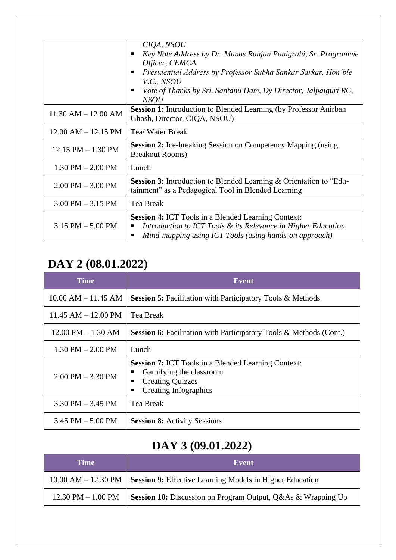|                         | CIQA, NSOU                                                                |  |  |  |  |
|-------------------------|---------------------------------------------------------------------------|--|--|--|--|
|                         | Key Note Address by Dr. Manas Ranjan Panigrahi, Sr. Programme             |  |  |  |  |
|                         | Officer, CEMCA                                                            |  |  |  |  |
|                         | Presidential Address by Professor Subha Sankar Sarkar, Hon'ble            |  |  |  |  |
|                         |                                                                           |  |  |  |  |
|                         | V.C., NSOU                                                                |  |  |  |  |
|                         | Vote of Thanks by Sri. Santanu Dam, Dy Director, Jalpaiguri RC,           |  |  |  |  |
|                         | <b>NSOU</b>                                                               |  |  |  |  |
|                         | <b>Session 1:</b> Introduction to Blended Learning (by Professor Anirban  |  |  |  |  |
| $11.30$ AM $- 12.00$ AM | Ghosh, Director, CIQA, NSOU)                                              |  |  |  |  |
|                         |                                                                           |  |  |  |  |
| $12.00$ AM $- 12.15$ PM | Tea/ Water Break                                                          |  |  |  |  |
|                         |                                                                           |  |  |  |  |
| $12.15$ PM $- 1.30$ PM  | <b>Session 2:</b> Ice-breaking Session on Competency Mapping (using       |  |  |  |  |
|                         | <b>Breakout Rooms</b> )                                                   |  |  |  |  |
|                         |                                                                           |  |  |  |  |
| $1.30$ PM $- 2.00$ PM   | Lunch                                                                     |  |  |  |  |
|                         | <b>Session 3:</b> Introduction to Blended Learning & Orientation to "Edu- |  |  |  |  |
| $2.00$ PM $-3.00$ PM    | tainment" as a Pedagogical Tool in Blended Learning                       |  |  |  |  |
|                         |                                                                           |  |  |  |  |
| $3.00$ PM $-3.15$ PM    | Tea Break                                                                 |  |  |  |  |
|                         |                                                                           |  |  |  |  |
|                         | <b>Session 4: ICT Tools in a Blended Learning Context:</b>                |  |  |  |  |
| $3.15$ PM $- 5.00$ PM   | Introduction to ICT Tools & its Relevance in Higher Education             |  |  |  |  |
|                         | Mind-mapping using ICT Tools (using hands-on approach)<br>п               |  |  |  |  |
|                         |                                                                           |  |  |  |  |

# **DAY 2 (08.01.2022)**

| <b>Time</b>             | Event                                                                                                                                                 |
|-------------------------|-------------------------------------------------------------------------------------------------------------------------------------------------------|
| $10.00$ AM $- 11.45$ AM | <b>Session 5:</b> Facilitation with Participatory Tools & Methods                                                                                     |
| $11.45$ AM $- 12.00$ PM | Tea Break                                                                                                                                             |
| $12.00$ PM $- 1.30$ AM  | <b>Session 6:</b> Facilitation with Participatory Tools & Methods (Cont.)                                                                             |
| $1.30$ PM $- 2.00$ PM   | Lunch                                                                                                                                                 |
| $2.00$ PM $-3.30$ PM    | <b>Session 7:</b> ICT Tools in a Blended Learning Context:<br>Gamifying the classroom<br><b>Creating Quizzes</b><br>п<br><b>Creating Infographics</b> |
| $3.30$ PM $- 3.45$ PM   | Tea Break                                                                                                                                             |
| $3.45$ PM $- 5.00$ PM   | <b>Session 8:</b> Activity Sessions                                                                                                                   |

## **DAY 3 (09.01.2022)**

| Time                   | Event                                                                                    |
|------------------------|------------------------------------------------------------------------------------------|
|                        | $10.00$ AM $- 12.30$ PM $\vert$ Session 9: Effective Learning Models in Higher Education |
| $12.30$ PM $- 1.00$ PM | <b>Session 10:</b> Discussion on Program Output, Q&As & Wrapping Up                      |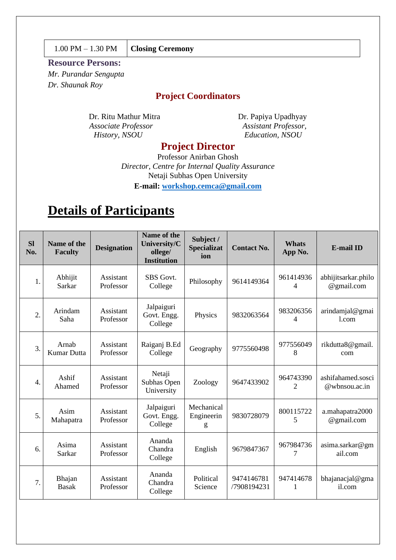#### 1.00 PM – 1.30 PM **Closing Ceremony**

#### **Resource Persons:**

*Mr. Purandar Sengupta Dr. Shaunak Roy*

#### **Project Coordinators**

Dr. Ritu Mathur Mitra Dr. Papiya Upadhyay *Associate Professor Assistant Professor, History, NSOU Education, NSOU*

#### **Project Director**

Professor Anirban Ghosh *Director, Centre for Internal Quality Assurance* Netaji Subhas Open University **E-mail: [workshop.cemca@gmail.com](mailto:workshop.cemca@gmail.com)**

## **Details of Participants**

| <b>SI</b><br>No. | Name of the<br><b>Faculty</b> | <b>Designation</b>     | <b>Name of the</b><br>University/C<br>ollege/<br><b>Institution</b> | Subject /<br><b>Specializat</b><br>ion | <b>Contact No.</b>        | <b>Whats</b><br>App No.     | <b>E-mail ID</b>                   |
|------------------|-------------------------------|------------------------|---------------------------------------------------------------------|----------------------------------------|---------------------------|-----------------------------|------------------------------------|
| 1.               | Abhijit<br>Sarkar             | Assistant<br>Professor | SBS Govt.<br>College                                                | Philosophy                             | 9614149364                | 961414936<br>$\overline{4}$ | abhijitsarkar.philo<br>@gmail.com  |
| $\overline{2}$ . | Arindam<br>Saha               | Assistant<br>Professor | Jalpaiguri<br>Govt. Engg.<br>College                                | Physics                                | 9832063564                | 983206356<br>4              | arindamjal@gmai<br>1.com           |
| 3.               | Arnab<br><b>Kumar Dutta</b>   | Assistant<br>Professor | Raiganj B.Ed<br>College                                             | Geography                              | 9775560498                | 977556049<br>8              | rikdutta8@gmail.<br>com            |
| 4.               | Ashif<br>Ahamed               | Assistant<br>Professor | Netaji<br>Subhas Open<br>University                                 | Zoology                                | 9647433902                | 964743390<br>2              | ashifahamed.sosci<br>@wbnsou.ac.in |
| 5.               | Asim<br>Mahapatra             | Assistant<br>Professor | Jalpaiguri<br>Govt. Engg.<br>College                                | Mechanical<br>Engineerin<br>g          | 9830728079                | 800115722<br>5              | a.mahapatra2000<br>@gmail.com      |
| 6.               | Asima<br>Sarkar               | Assistant<br>Professor | Ananda<br>Chandra<br>College                                        | English                                | 9679847367                | 967984736<br>7              | asima.sarkar@gm<br>ail.com         |
| 7.               | Bhajan<br><b>Basak</b>        | Assistant<br>Professor | Ananda<br>Chandra<br>College                                        | Political<br>Science                   | 9474146781<br>/7908194231 | 947414678<br>1              | bhajanacjal@gma<br>il.com          |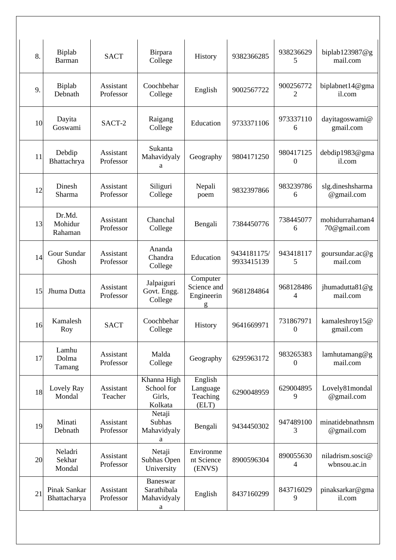| 8. | Biplab<br><b>Barman</b>      | <b>SACT</b>            | Birpara<br>College                             | History                                    | 9382366285                | 938236629<br>5                | biplab123987@g<br>mail.com       |
|----|------------------------------|------------------------|------------------------------------------------|--------------------------------------------|---------------------------|-------------------------------|----------------------------------|
| 9. | Biplab<br>Debnath            | Assistant<br>Professor | Coochbehar<br>College                          | English                                    | 9002567722                | 900256772<br>2                | biplabnet14@gma<br>il.com        |
| 10 | Dayita<br>Goswami            | SACT-2                 | Raigang<br>College                             | Education                                  | 9733371106                | 973337110<br>6                | dayitagoswami@<br>gmail.com      |
| 11 | Debdip<br>Bhattachrya        | Assistant<br>Professor | Sukanta<br>Mahavidyaly<br>a                    | Geography                                  | 9804171250                | 980417125<br>$\theta$         | debdip1983@gma<br>il.com         |
| 12 | Dinesh<br>Sharma             | Assistant<br>Professor | Siliguri<br>College                            | Nepali<br>poem                             | 9832397866                | 983239786<br>6                | slg.dineshsharma<br>@gmail.com   |
| 13 | Dr.Md.<br>Mohidur<br>Rahaman | Assistant<br>Professor | Chanchal<br>College                            | Bengali                                    | 7384450776                | 738445077<br>6                | mohidurrahaman4<br>70@gmail.com  |
| 14 | Gour Sundar<br>Ghosh         | Assistant<br>Professor | Ananda<br>Chandra<br>College                   | Education                                  | 9434181175/<br>9933415139 | 943418117<br>5                | goursundar.ac@g<br>mail.com      |
| 15 | Jhuma Dutta                  | Assistant<br>Professor | Jalpaiguri<br>Govt. Engg.<br>College           | Computer<br>Science and<br>Engineerin<br>g | 9681284864                | 968128486<br>4                | jhumadutta81@g<br>mail.com       |
| 16 | Kamalesh<br>Roy              | <b>SACT</b>            | Coochbehar<br>College                          | History                                    | 9641669971                | 731867971<br>$\boldsymbol{0}$ | kamaleshroy15@<br>gmail.com      |
| 17 | Lamhu<br>Dolma<br>Tamang     | Assistant<br>Professor | Malda<br>College                               | Geography                                  | 6295963172                | 983265383<br>$\theta$         | lamhutamang@g<br>mail.com        |
| 18 | Lovely Ray<br>Mondal         | Assistant<br>Teacher   | Khanna High<br>School for<br>Girls,<br>Kolkata | English<br>Language<br>Teaching<br>(ELT)   | 6290048959                | 629004895<br>9                | Lovely81mondal<br>@gmail.com     |
| 19 | Minati<br>Debnath            | Assistant<br>Professor | Netaji<br>Subhas<br>Mahavidyaly<br>a           | Bengali                                    | 9434450302                | 947489100<br>3                | minatidebnathnsm<br>@gmail.com   |
| 20 | Neladri<br>Sekhar<br>Mondal  | Assistant<br>Professor | Netaji<br>Subhas Open<br>University            | Environme<br>nt Science<br>(ENVS)          | 8900596304                | 890055630<br>4                | niladrism.sosci@<br>wbnsou.ac.in |
| 21 | Pinak Sankar<br>Bhattacharya | Assistant<br>Professor | Baneswar<br>Sarathibala<br>Mahavidyaly<br>a    | English                                    | 8437160299                | 843716029<br>9                | pinaksarkar@gma<br>il.com        |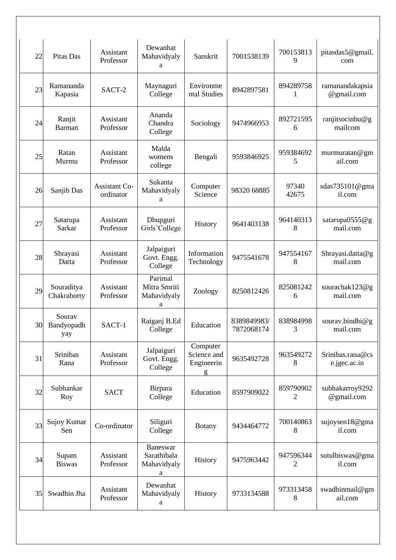| 22 | Pitas Das                   | Assistant<br>Professor     | Dewanhat<br>Mahavidyaly<br>a                | Sanskrit                                   | 7001538139                | 700153813<br>9 | pitasdas5@gmail.<br>com          |
|----|-----------------------------|----------------------------|---------------------------------------------|--------------------------------------------|---------------------------|----------------|----------------------------------|
| 23 | Ramananda<br>Kapasia        | SACT-2                     | Maynaguri<br>College                        | Environme<br>ntal Studies                  | 8942897581                | 894289758<br>1 | ramanandakapsia<br>@gmail.com    |
| 24 | Ranjit<br><b>Barman</b>     | Assistant<br>Professor     | Ananda<br>Chandra<br>College                | Sociology                                  | 9474966953                | 892721595<br>6 | ranjitsocinbu@g<br>mailcom       |
| 25 | Ratan<br>Murmu              | Assistant<br>Professor     | Malda<br>womens<br>college                  | Bengali                                    | 9593846925                | 959384692<br>5 | murmuratan@gm<br>ail.com         |
| 26 | Sanjib Das                  | Assistant Co-<br>ordinator | Sukanta<br>Mahavidyaly<br>a                 | Computer<br>Science                        | 98320 68885               | 97340<br>42675 | sdas735101@gma<br>il.com         |
| 27 | Satarupa<br>Sarkar          | Assistant<br>Professor     | Dhupguri<br>Girls'College                   | History                                    | 9641403138                | 964140313<br>8 | satarupa0555@g<br>mail.com       |
| 28 | Shrayasi<br>Datta           | Assistant<br>Professor     | Jalpaiguri<br>Govt. Engg.<br>College        | Information<br>Technology                  | 9475541678                | 947554167<br>8 | Shrayasi.datta@g<br>mail.com     |
| 29 | Souraditya<br>Chakraborty   | Assistant<br>Professor     | Parimal<br>Mitra Smriti<br>Mahavidyaly<br>a | Zoology                                    | 8250812426                | 825081242<br>6 | sourachak123@g<br>mail.com       |
| 30 | Sourav<br>Bandyopadh<br>yay | SACT-1                     | Raiganj B.Ed<br>College                     | Education                                  | 8389849983/<br>7872068174 | 838984998<br>3 | sourav.bindhi@g<br>mail.com      |
| 31 | Srinibas<br>Rana            | Assistant<br>Professor     | Jalpaiguri<br>Govt. Engg.<br>College        | Computer<br>Science and<br>Engineerin<br>g | 9635492728                | 963549272<br>8 | Srinibas.rana@cs<br>e.jgec.ac.in |
| 32 | Subhankar<br>Roy            | <b>SACT</b>                | Birpara<br>College                          | Education                                  | 8597909022                | 859790902<br>2 | subhakarroy9292<br>@gmail.com    |
| 33 | Sujoy Kumar<br>Sen          | Co-ordinator               | Siliguri<br>College                         | <b>Botany</b>                              | 9434464772                | 700140863<br>8 | sujoysen18@gma<br>il.com         |
| 34 | Supam<br><b>Biswas</b>      | Assistant<br>Professor     | Baneswar<br>Sarathibala<br>Mahavidyaly<br>a | History                                    | 9475963442                | 947596344<br>2 | sutulbiswas@gma<br>il.com        |
| 35 | Swadhin Jha                 | Assistant<br>Professor     | Dewanhat<br>Mahavidyaly<br>a                | History                                    | 9733134588                | 973313458<br>8 | swadhinmail@gm<br>ail.com        |